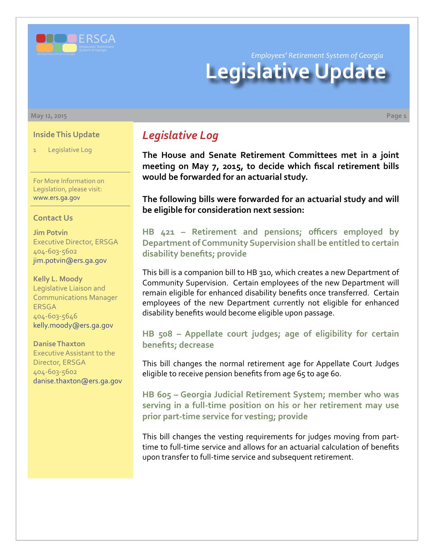

# *Employees' Retirement System of Georgia* **Legislative Update**

**May 12, 2015 Page 1**

#### **Inside This Update**

Legislative Log

For More Information on Legislation, please visit: [www.ers.ga.gov](http://www.ers.ga.gov/default.aspx)

#### **Contact Us**

**Jim Potvin** Executive Director, ERSGA 404-603-5602 jim.potvin@ers.ga.gov

**Kelly L. Moody** Legislative Liaison and Communications Manager ERSGA 404-603-5646 kelly.moody@ers.ga.gov

**Danise Thaxton** Executive Assistant to the Director, ERSGA 404-603-5602 danise.thaxton@ers.ga.gov

## *Legislative Log*

**The House and Senate Retirement Committees met in a joint meeting on May 7, 2015, to decide which fiscal retirement bills would be forwarded for an actuarial study.** 

**The following bills were forwarded for an actuarial study and will be eligible for consideration next session:**

**HB [421 –](http://www.legis.ga.gov/legislation/en-US/Display/20152016/HB/421) Retirement and pensions; officers employed by Department of Community Supervision shall be entitled to certain disability benefits; provide**

This bill is a companion bill to HB 310, which creates a new Department of Community Supervision. Certain employees of the new Department will remain eligible for enhanced disability benefits once transferred. Certain employees of the new Department currently not eligible for enhanced disability benefits would become eligible upon passage.

#### **HB [508 –](http://www.legis.ga.gov/legislation/en-US/Display/20152016/HB/508) Appellate court judges; age of eligibility for certain benefits; decrease**

This bill changes the normal retirement age for Appellate Court Judges eligible to receive pension benefits from age 65 to age 60.

**HB [605 –](http://www.legis.ga.gov/legislation/en-US/Display/20152016/HB/605) Georgia Judicial Retirement System; member who was serving in a full-time position on his or her retirement may use prior part-time service for vesting; provide**

This bill changes the vesting requirements for judges moving from parttime to full-time service and allows for an actuarial calculation of benefits upon transfer to full-time service and subsequent retirement.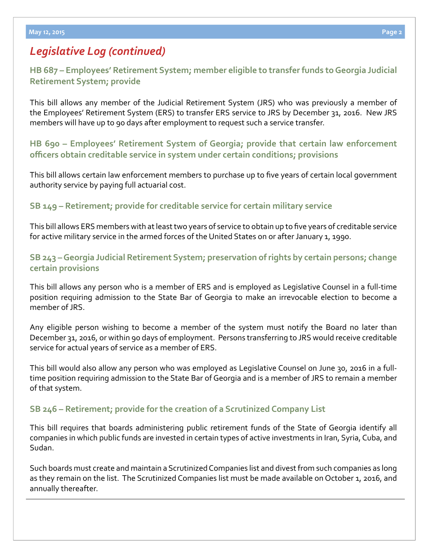# *Legislative Log (continued)*

**HB [687 – E](http://www.legis.ga.gov/legislation/en-US/Display/20152016/HB/687)mployees' Retirement System; member eligible to transfer funds to Georgia Judicial Retirement System; provide**

This bill allows any member of the Judicial Retirement System (JRS) who was previously a member of the Employees' Retirement System (ERS) to transfer ERS service to JRS by December 31, 2016. New JRS members will have up to 90 days after employment to request such a service transfer.

**HB [690 – E](http://www.legis.ga.gov/legislation/en-US/Display/20152016/HB/690)mployees' Retirement System of Georgia; provide that certain law enforcement officers obtain creditable service in system under certain conditions; provisions**

This bill allows certain law enforcement members to purchase up to five years of certain local government authority service by paying full actuarial cost.

#### **S[B 149 – R](http://www.legis.ga.gov/legislation/en-US/Display/20152016/SB/149)etirement; provide for creditable service for certain military service**

This bill allows ERS members with at least two years of service to obtain up to five years of creditable service for active military service in the armed forces of the United States on or after January 1, 1990.

## **S[B 243 –](http://www.legis.ga.gov/legislation/en-US/Display/20152016/SB/243) Georgia Judicial Retirement System; preservation of rights by certain persons; change certain provisions**

This bill allows any person who is a member of ERS and is employed as Legislative Counsel in a full-time position requiring admission to the State Bar of Georgia to make an irrevocable election to become a member of JRS.

Any eligible person wishing to become a member of the system must notify the Board no later than December 31, 2016, or within 90 days of employment. Persons transferring to JRS would receive creditable service for actual years of service as a member of ERS.

This bill would also allow any person who was employed as Legislative Counsel on June 30, 2016 in a fulltime position requiring admission to the State Bar of Georgia and is a member of JRS to remain a member of that system.

## **S[B 246 – R](http://www.legis.ga.gov/legislation/en-US/Display/20152016/SB/246)etirement; provide for the creation of a Scrutinized Company List**

This bill requires that boards administering public retirement funds of the State of Georgia identify all companies in which public funds are invested in certain types of active investments in Iran, Syria, Cuba, and Sudan.

Such boards must create and maintain a Scrutinized Companies list and divest from such companies as long as they remain on the list. The Scrutinized Companies list must be made available on October 1, 2016, and annually thereafter.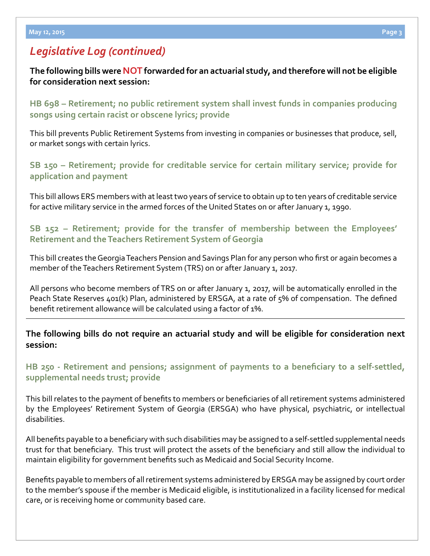## *Legislative Log (continued)*

**The following bills were NOT forwarded for an actuarial study, and therefore will not be eligible for consideration next session:** 

**HB [698 –](http://www.legis.ga.gov/legislation/en-US/Display/20152016/HB/698) Retirement; no public retirement system shall invest funds in companies producing songs using certain racist or obscene lyrics; provide**

This bill prevents Public Retirement Systems from investing in companies or businesses that produce, sell, or market songs with certain lyrics.

**S[B 150 –](http://www.legis.ga.gov/legislation/en-US/Display/20152016/SB/150) Retirement; provide for creditable service for certain military service; provide for application and payment**

This bill allows ERS members with at least two years of service to obtain up to ten years of creditable service for active military service in the armed forces of the United States on or after January 1, 1990.

#### **S[B 152 –](http://www.legis.ga.gov/legislation/en-US/Display/20152016/SB/152) Retirement; provide for the transfer of membership between the Employees' Retirement and the Teachers Retirement System of Georgia**

This bill creates the Georgia Teachers Pension and Savings Plan for any person who first or again becomes a member of the Teachers Retirement System (TRS) on or after January 1, 2017.

All persons who become members of TRS on or after January 1, 2017, will be automatically enrolled in the Peach State Reserves 401(k) Plan, administered by ERSGA, at a rate of 5% of compensation. The defined benefit retirement allowance will be calculated using a factor of 1%.

#### **The following bills do not require an actuarial study and will be eligible for consideration next session:**

## **[HB 250 - Retirement and pensions; assignment of payments to a beneficiary to a self-settled,](http://www.legis.ga.gov/legislation/en-US/Display/20152016/HB/250)  [supplemental needs trust; provide](http://www.legis.ga.gov/legislation/en-US/Display/20152016/HB/250)**

This bill relates to the payment of benefits to members or beneficiaries of all retirement systems administered by the Employees' Retirement System of Georgia (ERSGA) who have physical, psychiatric, or intellectual disabilities.

All benefits payable to a beneficiary with such disabilities may be assigned to a self-settled supplemental needs trust for that beneficiary. This trust will protect the assets of the beneficiary and still allow the individual to maintain eligibility for government benefits such as Medicaid and Social Security Income.

Benefits payable to members of all retirement systems administered by ERSGA may be assigned by court order to the member's spouse if the member is Medicaid eligible, is institutionalized in a facility licensed for medical care, or is receiving home or community based care.